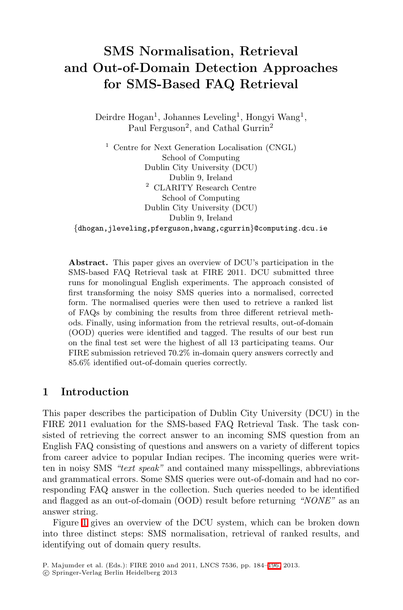# SMS Normalisation, Retrieval and Out-of-Domain Detection Approaches for SMS-Based FAQ Retrieval

Deirdre Hogan<sup>1</sup>, Johannes Leveling<sup>1</sup>, Hongyi Wang<sup>1</sup>, Paul Ferguson<sup>2</sup>, and Cathal Gurrin<sup>2</sup>

<sup>1</sup> Centre for Next Generation Localisation (CNGL) School of Computing Dublin City University (DCU) Dublin 9, Ireland <sup>2</sup> CLARITY Research Centre School of Computing Dublin City University (DCU) Dublin 9, Ireland *{*dhogan,jleveling,pferguson,hwang,cgurrin*}*@computing.dcu.ie

Abstract. This paper gives an overview of DCU's participation in the SMS-based FAQ Retrieval task at FIRE 2011. DCU submitted three runs for monolingual English experiments. The approach consisted of first transforming the noisy SMS queries into a normalised, corrected form. The normalised queries were then used to retrieve a ranked list of FAQs by combining the results from three different retrieval methods. Finally, using information from the retrieval results, out-of-domain (OOD) queries were identified and tagged. The results of our best run on the final test set were the highest of all 13 participating teams. Our FIRE submission retrieved 70.2% in-domain query answers correctly and 85.6% identified out-of-domain queries correctly.

# 1 Introduction

This paper describes the participation of Dublin City University (DCU) in the FIRE 2011 evaluation for the SMS-based FAQ Retrieval Task. The task consisted of retrieving the correct answer to an incoming SMS question from an English FAQ consisting of questions and answers on a variety of different topics from career advice to popular Indian recipes. The incoming queries were written in noisy SMS *"text speak"* and contained many misspellings, abbreviations and grammatical errors. Some SMS queries were out-of-domain and had no corresponding FAQ answer in the collection. Such queries needed to be identified and flagged as an out-of-domain (OOD) result before returning *"NONE"* as an answer string.

Figure  $\mathbb{I}$  gives an overview of the DCU system, which can be broken down into three distinct steps: SMS normalisation, retrieval of ranked results, and identifying out of domain query results.

P. Majumder et al. (Eds.): FIRE 2010 and 2011, LNCS 7536, pp. 184[–196,](#page-12-0) 2013.

<sup>!</sup>c Springer-Verlag Berlin Heidelberg 2013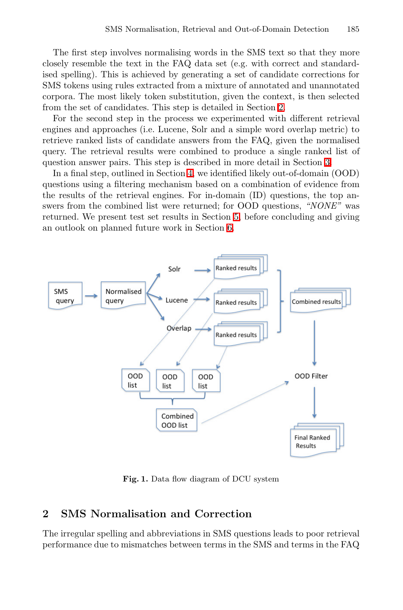The first step involves normalising words in the SMS text so that they more closely resemble the text in the FAQ data set (e.g. with correct and standardised spelling). This is achieved by generating a set of candidate corrections for SMS tokens using rules extracted from a mixture of annotated and unannotated corpora. The most likely token substitution, given the context, is then selected from the set of candidates. This step is detailed in Section [2.](#page-1-1)

For the second step in the process we experimented with different retrieval engines and approaches (i.e. Lucene, Solr and a simple word overlap metric) to retrieve ranked lists of candidate answers from the FAQ, given the normalised query. The retrieval results were combined to produce a single ranked list of question answer pairs. This step is described in more detail in Section [3.](#page-5-0)

In a final step, outlined in Section  $\mathbf{\mathcal{L}}$  we identified likely out-of-domain (OOD) questions using a filtering mechanism based on a combination of evidence from the results of the retrieval engines. For in-domain (ID) questions, the top answers from the combined list were returned; for OOD questions, *"NONE"* was returned. We present test set results in Section  $\overline{5}$  before concluding and giving an outlook on planned future work in Section [6.](#page-11-0)



<span id="page-1-1"></span><span id="page-1-0"></span>Fig. 1. Data flow diagram of DCU system

## 2 SMS Normalisation and Correction

The irregular spelling and abbreviations in SMS questions leads to poor retrieval performance due to mismatches between terms in the SMS and terms in the FAQ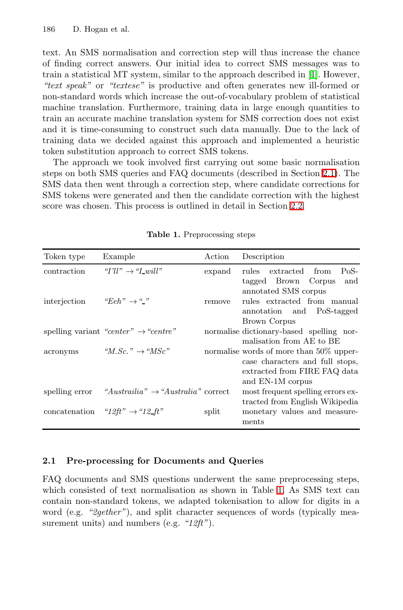text. An SMS normalisation and correction step will thus increase the chance of finding correct answers. Our initial idea to correct SMS messages was to train a statistical MT system, similar to the approach described in  $\llbracket \cdot \rrbracket$ . However, *"text speak"* or *"textese"* is productive and often generates new ill-formed or non-standard words which increase the out-of-vocabulary problem of statistical machine translation. Furthermore, training data in large enough quantities to train an accurate machine translation system for SMS correction does not exist and it is time-consuming to construct such data manually. Due to the lack of training data we decided against this approach and implemented a heuristic token substitution approach to correct SMS tokens.

The approach we took involved first carrying out some basic normalisation steps on both SMS queries and FAQ documents (described in Section [2.1\)](#page-2-0). The SMS data then went through a correction step, where candidate corrections for SMS tokens were generated and then the candidate correction with the highest score was chosen. This process is outlined in detail in Section [2.2.](#page-3-0)

| Token type         | Example                                          | Action | Description                                                                                                                                                |
|--------------------|--------------------------------------------------|--------|------------------------------------------------------------------------------------------------------------------------------------------------------------|
| <i>contraction</i> | " $I'll'' \rightarrow "Lwill"$                   | expand | PoS-<br>rules extracted from                                                                                                                               |
| interjection       | " $Eeh$ " $\rightarrow$ ""                       | remove | tagged Brown Corpus and<br>annotated SMS corpus<br>rules extracted from manual<br>annotation and PoS-tagged<br>Brown Corpus                                |
|                    | spelling variant "center" $\rightarrow$ "centre" |        | normalise dictionary-based spelling nor-                                                                                                                   |
| acronyms           | " $M. Sc.$ " $\rightarrow$ " $MSc$ "             |        | malisation from AE to BE<br>normalise words of more than 50% upper-<br>case characters and full stops,<br>extracted from FIRE FAQ data<br>and EN-1M corpus |
| spelling error     | "Austrailia" $\rightarrow$ "Australia" correct   |        | most frequent spelling errors ex-                                                                                                                          |
|                    | concatenation "12ft" $\rightarrow$ "12ft"        | split  | tracted from English Wikipedia<br>monetary values and measure-<br>ments                                                                                    |

<span id="page-2-1"></span>Table 1. Preprocessing steps

#### <span id="page-2-0"></span>2.1 Pre-processing for Documents and Queries

FAQ documents and SMS questions underwent the same preprocessing steps, which consisted of text normalisation as shown in Table  $\Box$  As SMS text can contain non-standard tokens, we adapted tokenisation to allow for digits in a word (e.g. "2gether"), and split character sequences of words (typically measurement units) and numbers (e.g. *"12ft"*).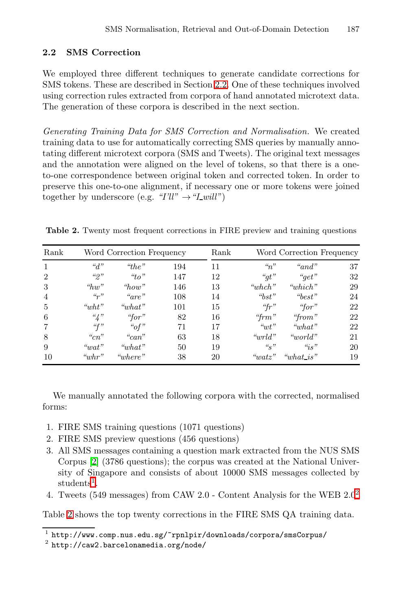#### <span id="page-3-0"></span>2.2 SMS Correction

We employed three different techniques to generate candidate corrections for SMS tokens. These are described in Section [2.2.](#page-4-0) One of these techniques involved using correction rules extracted from corpora of hand annotated microtext data. The generation of these corpora is described in the next section.

<span id="page-3-3"></span>*Generating Training Data for SMS Correction and Normalisation.* We created training data to use for automatically correcting SMS queries by manually annotating different microtext corpora (SMS and Tweets). The original text messages and the annotation were aligned on the level of tokens, so that there is a oneto-one correspondence between original token and corrected token. In order to preserve this one-to-one alignment, if necessary one or more tokens were joined together by underscore (e.g.  $''I'll'' \rightarrow "I\_will"$ )

Table 2. Twenty most frequent corrections in FIRE preview and training questions

| Rank           |                        | Word Correction Frequency |     | Rank |                   |                      | Word Correction Frequency |
|----------------|------------------------|---------------------------|-----|------|-------------------|----------------------|---------------------------|
| $\mathbf{1}$   | ``d"                   | "the"                     | 194 | 11   | $\mathscr{C}_n$ " | "and"                | 37                        |
| $\overline{2}$ | "2"                    | ``to"                     | 147 | 12   | " $gt"$           | " $qet"$             | 32                        |
| 3              | $\lq w$ "              | "how"                     | 146 | 13   | "when"            | "which"              | 29                        |
| $\overline{4}$ | $\mathcal{C}_{\gamma}$ | "are"                     | 108 | 14   | " $bst"$          | "best"               | 24                        |
| 5              | "wht"                  | $\omega_{\text{that}}$ "  | 101 | 15   | "fr"              | "for"                | 22                        |
| 6              | $\frac{a}{4}$ "        | "for"                     | 82  | 16   | "fr $m$ "         | "from"               | 22                        |
| $\overline{7}$ | ``f"                   | " $of$ "                  | 71  | 17   | $\omega'$         | " $what"$            | 22                        |
| 8              | $C_{cn}$               | " $can$ "                 | 63  | 18   | " $w r l d$ "     | "world"              | 21                        |
| 9              | ``wat"                 | " $what"$                 | 50  | 19   | $\frac{u_g}{s}$   | $\mathscr{C}_{iS}$ " | 20                        |
| 10             | "whr"                  | "where"                   | 38  | 20   | "watz"            | " $what$ is"         | 19                        |

We manually annotated the following corpora with the corrected, normalised forms:

- 1. FIRE SMS training questions (1071 questions)
- 2. FIRE SMS preview questions (456 questions)
- <span id="page-3-1"></span>3. All SMS messages containing a question mark extracted from the NUS SMS Corpus  $\boxed{2}$  (3786 questions); the corpus was created at the National University of Singapore and consists of about 10000 SMS messages collected by students<sup>[1](#page-3-1)</sup>.
- <span id="page-3-2"></span>4. Tweets (549 messages) from CAW [2](#page-3-2).0 - Content Analysis for the WEB  $2.0<sup>2</sup>$

Table  $\overline{2}$  shows the top twenty corrections in the FIRE SMS QA training data.

 $^{\rm 1}$ http://www.comp.nus.edu.sg/~rpnlpir/downloads/corpora/smsCorpus/

 $2$  http://caw2.barcelonamedia.org/node/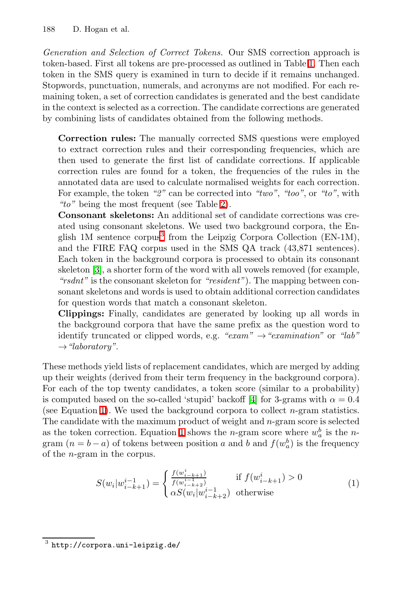<span id="page-4-0"></span>*Generation and Selection of Correct Tokens.* Our SMS correction approach is token-based. First all tokens are pre-processed as outlined in Table  $\Box$  Then each token in the SMS query is examined in turn to decide if it remains unchanged. Stopwords, punctuation, numerals, and acronyms are not modified. For each remaining token, a set of correction candidates is generated and the best candidate in the context is selected as a correction. The candidate corrections are generated by combining lists of candidates obtained from the following methods.

Correction rules: The manually corrected SMS questions were employed to extract correction rules and their corresponding frequencies, which are then used to generate the first list of candidate corrections. If applicable correction rules are found for a token, the frequencies of the rules in the annotated data are used to calculate normalised weights for each correction. For example, the token *"2"* can be corrected into *"two"*, *"too"*, or *"to"*, with "to" being the most frequent (see Table [2\)](#page-3-3).

Consonant skeletons: An additional set of candidate corrections was created using consonant skeletons. We used two background corpora, the En-glish 1M sentence corpus<sup>[3](#page-4-1)</sup> from the Leipzig Corpora Collection (EN-1M), and the FIRE FAQ corpus used in the SMS QA track (43,871 sentences). Each token in the background corpora is processed to obtain its consonant skeleton  $\mathbf{3}$ , a shorter form of the word with all vowels removed (for example, *"rsdnt"* is the consonant skeleton for *"resident"*). The mapping between consonant skeletons and words is used to obtain additional correction candidates for question words that match a consonant skeleton.

Clippings: Finally, candidates are generated by looking up all words in the background corpora that have the same prefix as the question word to identify truncated or clipped words, e.g. *"exam"* →*"examination"* or *"lab"* →*"laboratory"*.

These methods yield lists of replacement candidates, which are merged by adding up their weights (derived from their term frequency in the background corpora). For each of the top twenty candidates, a token score (similar to a probability) is computed based on the so-called 'stupid' backoff  $\boxed{4}$  for 3-grams with  $\alpha = 0.4$ (see Equation  $\mathbb{I}$ ). We used the background corpora to collect *n*-gram statistics. The candidate with the maximum product of weight and *n*-gram score is selected as the token correction. Equation  $\Box$  shows the *n*-gram score where  $w_a^b$  is the *n*gram  $(n = b - a)$  of tokens between position *a* and *b* and  $f(w_a^b)$  is the frequency of the *n*-gram in the corpus.

<span id="page-4-2"></span><span id="page-4-1"></span>
$$
S(w_i|w_{i-k+1}^{i-1}) = \begin{cases} \frac{f(w_{i-k+1}^i)}{f(w_{i-k+2}^{i-1})} & \text{if } f(w_{i-k+1}^i) > 0\\ \alpha S(w_i|w_{i-k+2}^{i-1}) & \text{otherwise} \end{cases}
$$
(1)

 $3$  http://corpora.uni-leipzig.de/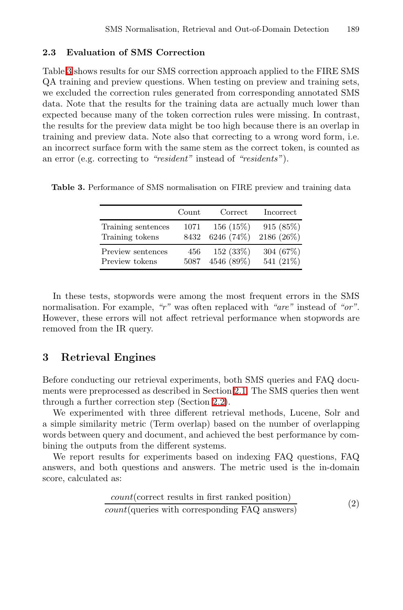#### 2.3 Evaluation of SMS Correction

Table **3** shows results for our SMS correction approach applied to the FIRE SMS QA training and preview questions. When testing on preview and training sets, we excluded the correction rules generated from corresponding annotated SMS data. Note that the results for the training data are actually much lower than expected because many of the token correction rules were missing. In contrast, the results for the preview data might be too high because there is an overlap in training and preview data. Note also that correcting to a wrong word form, i.e. an incorrect surface form with the same stem as the correct token, is counted as an error (e.g. correcting to *"resident"* instead of *"residents"*).

<span id="page-5-1"></span><span id="page-5-0"></span>

|                    | Count | Correct    | Incorrect   |
|--------------------|-------|------------|-------------|
| Training sentences | 1071  | 156(15%)   | 915 (85%)   |
| Training tokens    | 8432  | 6246 (74%) | 2186 (26%)  |
| Preview sentences  | 456   | 152(33%)   | 304 $(67%)$ |
| Preview tokens     | 5087  | 4546 (89%) | 541 (21%)   |

Table 3. Performance of SMS normalisation on FIRE preview and training data

In these tests, stopwords were among the most frequent errors in the SMS normalisation. For example, *"r"* was often replaced with *"are"* instead of *"or"*. However, these errors will not affect retrieval performance when stopwords are removed from the IR query.

## 3 Retrieval Engines

Before conducting our retrieval experiments, both SMS queries and FAQ docu-ments were preprocessed as described in Section [2.1.](#page-2-0) The SMS queries then went through a further correction step (Section [2.2\)](#page-3-0).

We experimented with three different retrieval methods, Lucene, Solr and a simple similarity metric (Term overlap) based on the number of overlapping words between query and document, and achieved the best performance by combining the outputs from the different systems.

We report results for experiments based on indexing FAQ questions, FAQ answers, and both questions and answers. The metric used is the in-domain score, calculated as:

$$
\frac{count(\text{correct results in first ranked position})}{count(\text{queries with corresponding FAQ answers})}
$$
\n(2)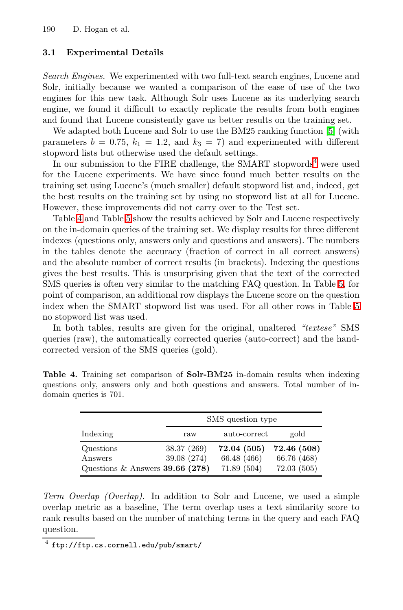#### 3.1 Experimental Details

*Search Engines.* We experimented with two full-text search engines, Lucene and Solr, initially because we wanted a comparison of the ease of use of the two engines for this new task. Although Solr uses Lucene as its underlying search engine, we found it difficult to exactly replicate the results from both engines and found that Lucene consistently gave us better results on the training set.

We adapted both Lucene and Solr to use the BM25 ranking function  $\boxed{5}$  (with parameters  $b = 0.75$ ,  $k_1 = 1.2$ , and  $k_3 = 7$ ) and experimented with different stopword lists but otherwise used the default settings.

In our submission to the FIRE challenge, the SMART stopwords<sup>[4](#page-6-0)</sup> were used for the Lucene experiments. We have since found much better results on the training set using Lucene's (much smaller) default stopword list and, indeed, get the best results on the training set by using no stopword list at all for Lucene. However, these improvements did not carry over to the Test set.

Table  $\overline{4}$  and Table  $\overline{5}$  show the results achieved by Solr and Lucene respectively on the in-domain queries of the training set. We display results for three different indexes (questions only, answers only and questions and answers). The numbers in the tables denote the accuracy (fraction of correct in all correct answers) and the absolute number of correct results (in brackets). Indexing the questions gives the best results. This is unsurprising given that the text of the corrected SMS queries is often very similar to the matching FAQ question. In Table  $\overline{5}$ , for point of comparison, an additional row displays the Lucene score on the question index when the SMART stopword list was used. For all other rows in Table  $\overline{5}$ no stopword list was used.

<span id="page-6-1"></span>In both tables, results are given for the original, unaltered *"textese"* SMS queries (raw), the automatically corrected queries (auto-correct) and the handcorrected version of the SMS queries (gold).

|                                                           | SMS question type          |                                           |                                          |  |  |  |  |
|-----------------------------------------------------------|----------------------------|-------------------------------------------|------------------------------------------|--|--|--|--|
| Indexing                                                  | raw                        | auto-correct                              | gold                                     |  |  |  |  |
| Questions<br>Answers<br>Questions & Answers $39.66$ (278) | 38.37 (269)<br>39.08 (274) | 72.04 (505)<br>66.48 (466)<br>71.89 (504) | 72.46 (508)<br>66.76 (468)<br>72.03(505) |  |  |  |  |

Table 4. Training set comparison of Solr-BM25 in-domain results when indexing questions only, answers only and both questions and answers. Total number of indomain queries is 701.

<span id="page-6-0"></span>*Term Overlap (Overlap).* In addition to Solr and Lucene, we used a simple overlap metric as a baseline, The term overlap uses a text similarity score to rank results based on the number of matching terms in the query and each FAQ question.

<sup>4</sup> ftp://ftp.cs.cornell.edu/pub/smart/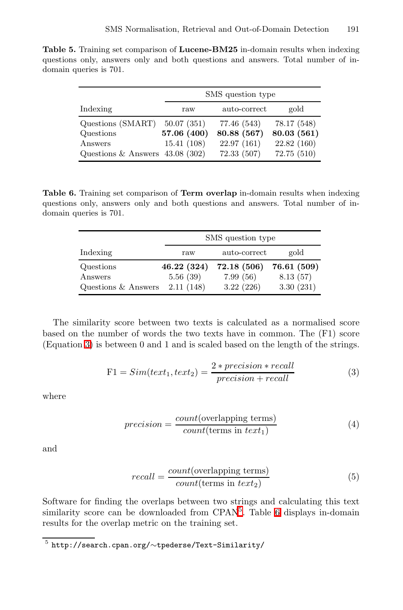<span id="page-7-0"></span>Table 5. Training set comparison of Lucene-BM25 in-domain results when indexing questions only, answers only and both questions and answers. Total number of indomain queries is 701.

<span id="page-7-3"></span>

|                                  | SMS question type |              |             |  |  |  |  |
|----------------------------------|-------------------|--------------|-------------|--|--|--|--|
| Indexing                         | raw               | auto-correct | gold        |  |  |  |  |
| Questions (SMART)                | 50.07(351)        | 77.46 (543)  | 78.17 (548) |  |  |  |  |
| Questions                        | 57.06 (400)       | 80.88 (567)  | 80.03 (561) |  |  |  |  |
| Answers                          | 15.41(108)        | 22.97(161)   | 22.82 (160) |  |  |  |  |
| Questions & Answers $43.08(302)$ |                   | 72.33(507)   | 72.75 (510) |  |  |  |  |

Table 6. Training set comparison of Term overlap in-domain results when indexing questions only, answers only and both questions and answers. Total number of indomain queries is 701.

|                     | SMS question type |              |             |  |  |  |  |
|---------------------|-------------------|--------------|-------------|--|--|--|--|
| Indexing            | raw               | auto-correct | gold        |  |  |  |  |
| Questions           | 46.22(324)        | 72.18(506)   | 76.61 (509) |  |  |  |  |
| Answers             | 5.56(39)          | 7.99(56)     | 8.13(57)    |  |  |  |  |
| Questions & Answers | 2.11(148)         | 3.22(226)    | 3.30(231)   |  |  |  |  |

The similarity score between two texts is calculated as a normalised score based on the number of words the two texts have in common. The (F1) score (Equation [3\)](#page-7-1) is between 0 and 1 and is scaled based on the length of the strings.

<span id="page-7-1"></span>
$$
F1 = Sim(text_1, text_2) = \frac{2 * precision * recall}{precision + recall}
$$
\n(3)

where

$$
precision = \frac{count(\text{overlapping terms})}{count(\text{terms in text}_1)}\tag{4}
$$

and

<span id="page-7-2"></span>
$$
recall = \frac{count(\text{overlapping terms})}{count(\text{terms in text}_2)}\tag{5}
$$

Software for finding the overlaps between two strings and calculating this text similarity score can be downloaded from CPAN<sup>[5](#page-7-2)</sup>. Table  $\overline{6}$  displays in-domain results for the overlap metric on the training set.

<sup>5</sup> http://search.cpan.org/∼tpederse/Text-Similarity/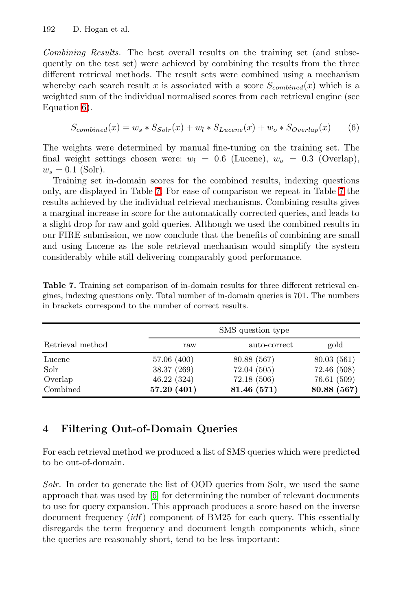<span id="page-8-1"></span>*Combining Results.* The best overall results on the training set (and subsequently on the test set) were achieved by combining the results from the three different retrieval methods. The result sets were combined using a mechanism whereby each search result x is associated with a score  $S_{combined}(x)$  which is a weighted sum of the individual normalised scores from each retrieval engine (see Equation 6.

$$
S_{combined}(x) = w_s * S_{Solv}(x) + w_l * S_{Lucene}(x) + w_o * S_{Overall}(x)
$$
 (6)

The weights were determined by manual fine-tuning on the training set. The final weight settings chosen were:  $w_l = 0.6$  (Lucene),  $w_o = 0.3$  (Overlap),  $w_s = 0.1$  (Solr).

<span id="page-8-2"></span>Training set in-domain scores for the combined results, indexing questions only, are displayed in Table  $\mathbb{Z}$ . For ease of comparison we repeat in Table  $\mathbb{Z}$  the results achieved by the individual retrieval mechanisms. Combining results gives a marginal increase in score for the automatically corrected queries, and leads to a slight drop for raw and gold queries. Although we used the combined results in our FIRE submission, we now conclude that the benefits of combining are small and using Lucene as the sole retrieval mechanism would simplify the system considerably while still delivering comparably good performance.

<span id="page-8-0"></span>

|                  | SMS question type |              |             |  |  |  |  |
|------------------|-------------------|--------------|-------------|--|--|--|--|
| Retrieval method | raw               | auto-correct | gold        |  |  |  |  |
| Lucene           | 57.06 (400)       | 80.88 (567)  | 80.03(561)  |  |  |  |  |
| Solr             | 38.37 (269)       | 72.04(505)   | 72.46 (508) |  |  |  |  |
| Overlap          | 46.22(324)        | 72.18(506)   | 76.61 (509) |  |  |  |  |
| Combined         | 57.20 (401)       | 81.46 (571)  | 80.88 (567) |  |  |  |  |

Table 7. Training set comparison of in-domain results for three different retrieval engines, indexing questions only. Total number of in-domain queries is 701. The numbers in brackets correspond to the number of correct results.

# 4 Filtering Out-of-Domain Queries

For each retrieval method we produced a list of SMS queries which were predicted to be out-of-domain.

*Solr.* In order to generate the list of OOD queries from Solr, we used the same approach that was used by  $\boxed{6}$  for determining the number of relevant documents to use for query expansion. This approach produces a score based on the inverse document frequency (*idf* ) component of BM25 for each query. This essentially disregards the term frequency and document length components which, since the queries are reasonably short, tend to be less important: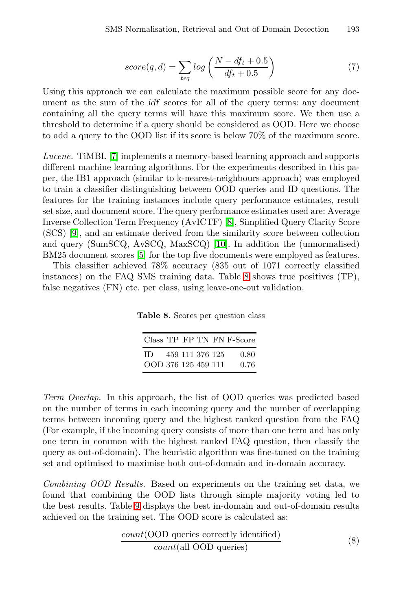$$
score(q, d) = \sum_{t \in q} log\left(\frac{N - df_t + 0.5}{df_t + 0.5}\right) \tag{7}
$$

Using this approach we can calculate the maximum possible score for any document as the sum of the *idf* scores for all of the query terms: any document containing all the query terms will have this maximum score. We then use a threshold to determine if a query should be considered as OOD. Here we choose to add a query to the OOD list if its score is below 70% of the maximum score.

*Lucene.* TiMBL [\[7\]](#page-11-7) implements a memory-based learning approach and supports different machine learning algorithms. For the experiments described in this paper, the IB1 approach (similar to k-nearest-neighbours approach) was employed to train a classifier distinguishing between OOD queries and ID questions. The features for the training instances include query performance estimates, result set size, and document score. The query performance estimates used are: Average Inverse Collection Term Frequency (AvICTF) [\[8\]](#page-12-1), Simplified Query Clarity Score (SCS) [\[9\]](#page-12-2), and an estimate derived from the similarity score between collection and query (SumSCQ, AvSCQ, MaxSCQ)  $[10]$ . In addition the (unnormalised) BM25 document scores [\[5\]](#page-11-5) for the top five documents were employed as features.

This classifier achieved 78% accuracy (835 out of 1071 correctly classified instances) on the FAQ SMS training data. Table  $\overline{8}$  shows true positives (TP), false negatives (FN) etc. per class, using leave-one-out validation.

<span id="page-9-0"></span>Table 8. Scores per question class

|                           |                 |  | Class TP FP TN FN F-Score |
|---------------------------|-----------------|--|---------------------------|
| ID<br>OOD 376 125 459 111 | 459 111 376 125 |  | 0.80<br>0.76              |

*Term Overlap.* In this approach, the list of OOD queries was predicted based on the number of terms in each incoming query and the number of overlapping terms between incoming query and the highest ranked question from the FAQ (For example, if the incoming query consists of more than one term and has only one term in common with the highest ranked FAQ question, then classify the query as out-of-domain). The heuristic algorithm was fine-tuned on the training set and optimised to maximise both out-of-domain and in-domain accuracy.

*Combining OOD Results.* Based on experiments on the training set data, we found that combining the OOD lists through simple majority voting led to the best results. Table  $\Omega$  displays the best in-domain and out-of-domain results achieved on the training set. The OOD score is calculated as:

$$
\frac{count(OOD \text{ queries correctly identified})}{count(\text{all OOD queries})}
$$
\n
$$
(8)
$$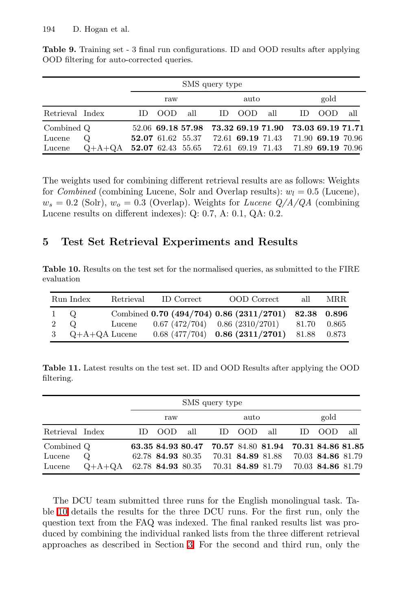|                 | SMS query type |     |                   |                                                       |     |                   |      |                   |                   |     |
|-----------------|----------------|-----|-------------------|-------------------------------------------------------|-----|-------------------|------|-------------------|-------------------|-----|
|                 |                | raw |                   | auto                                                  |     |                   | gold |                   |                   |     |
| Retrieval Index |                | ID. | OOD.              | all                                                   | ID. | – OOD             | all  | ID.               | -OOD              | all |
| Combined Q      |                |     |                   | 52.06 69.18 57.98 73.32 69.19 71.90 73.03 69.19 71.71 |     |                   |      |                   |                   |     |
| Lucene          | Q              |     | 52.07 61.62 55.37 |                                                       |     | 72.61 69.19 71.43 |      |                   | 71.90 69.19 70.96 |     |
| Lucene          | $Q+A+QA$       |     |                   | 52.07 62.43 55.65 72.61 69.19 71.43                   |     |                   |      | 71.89 69.19 70.96 |                   |     |

<span id="page-10-1"></span>Table 9. Training set - 3 final run configurations. ID and OOD results after applying OOD filtering for auto-corrected queries.

<span id="page-10-2"></span><span id="page-10-0"></span>The weights used for combining different retrieval results are as follows: Weights for *Combined* (combining Lucene, Solr and Overlap results):  $w_l = 0.5$  (Lucene),  $w_s = 0.2$  (Solr),  $w_o = 0.3$  (Overlap). Weights for *Lucene Q/A/QA* (combining Lucene results on different indexes): Q: 0*.*7, A: 0*.*1, QA: 0*.*2.

#### 5 Test Set Retrieval Experiments and Results

Table 10. Results on the test set for the normalised queries, as submitted to the FIRE evaluation

<span id="page-10-3"></span>

|             | Run Index         |        | Retrieval ID Correct | OOD Correct                                          | all         | MRR |
|-------------|-------------------|--------|----------------------|------------------------------------------------------|-------------|-----|
| 1 Q         |                   |        |                      | Combined 0.70 (494/704) 0.86 (2311/2701) 82.38 0.896 |             |     |
| $2^{\circ}$ | - Q               | Lucene |                      | $0.67(472/704)$ $0.86(2310/2701)$ $81.70$ $0.865$    |             |     |
|             | 3 $Q+A+QA$ Lucene |        |                      | $0.68$ (477/704) $0.86$ (2311/2701)                  | 81.88 0.873 |     |

Table 11. Latest results on the test set. ID and OOD Results after applying the OOD filtering.

|                 |                                              |     |             |                   | SMS query type |        |                                                       |     |                   |     |
|-----------------|----------------------------------------------|-----|-------------|-------------------|----------------|--------|-------------------------------------------------------|-----|-------------------|-----|
|                 |                                              |     | raw         |                   |                | auto   |                                                       |     | gold              |     |
| Retrieval Index |                                              | ID. | - OOD - all |                   |                | ID OOD | all                                                   | ID. | - OOD             | all |
| Combined Q      |                                              |     |             |                   |                |        | 63.35 84.93 80.47 70.57 84.80 81.94 70.31 84.86 81.85 |     |                   |     |
| Lucene          | Q                                            |     |             | 62.78 84.93 80.35 |                |        | 70.31 84.89 81.88                                     |     | 70.03 84.86 81.79 |     |
| Lucene          | $Q+A+QA$ 62.78 84.93 80.35 70.31 84.89 81.79 |     |             |                   |                |        |                                                       |     | 70.03 84.86 81.79 |     |

The DCU team submitted three runs for the English monolingual task. Table  $\overline{10}$  details the results for the three DCU runs. For the first run, only the question text from the FAQ was indexed. The final ranked results list was produced by combining the individual ranked lists from the three different retrieval approaches as described in Section  $\overline{3}$ . For the second and third run, only the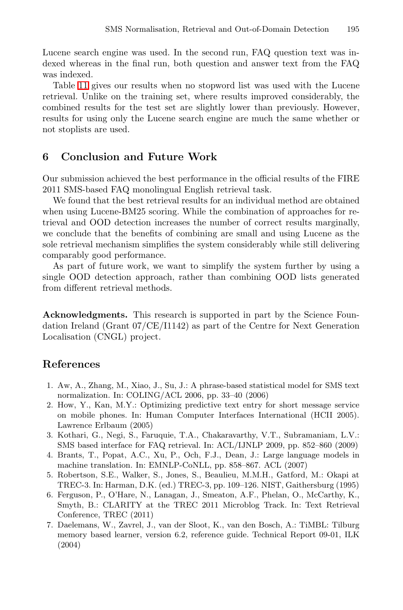<span id="page-11-0"></span>Lucene search engine was used. In the second run, FAQ question text was indexed whereas in the final run, both question and answer text from the FAQ was indexed.

Table  $\Box$  gives our results when no stopword list was used with the Lucene retrieval. Unlike on the training set, where results improved considerably, the combined results for the test set are slightly lower than previously. However, results for using only the Lucene search engine are much the same whether or not stoplists are used.

#### 6 Conclusion and Future Work

Our submission achieved the best performance in the official results of the FIRE 2011 SMS-based FAQ monolingual English retrieval task.

We found that the best retrieval results for an individual method are obtained when using Lucene-BM25 scoring. While the combination of approaches for retrieval and OOD detection increases the number of correct results marginally, we conclude that the benefits of combining are small and using Lucene as the sole retrieval mechanism simplifies the system considerably while still delivering comparably good performance.

As part of future work, we want to simplify the system further by using a single OOD detection approach, rather than combining OOD lists generated from different retrieval methods.

<span id="page-11-2"></span><span id="page-11-1"></span>Acknowledgments. This research is supported in part by the Science Foundation Ireland (Grant 07/CE/I1142) as part of the Centre for Next Generation Localisation (CNGL) project.

#### <span id="page-11-3"></span>References

- <span id="page-11-5"></span><span id="page-11-4"></span>1. Aw, A., Zhang, M., Xiao, J., Su, J.: A phrase-based statistical model for SMS text normalization. In: COLING/ACL 2006, pp. 33–40 (2006)
- <span id="page-11-6"></span>2. How, Y., Kan, M.Y.: Optimizing predictive text entry for short message service on mobile phones. In: Human Computer Interfaces International (HCII 2005). Lawrence Erlbaum (2005)
- <span id="page-11-7"></span>3. Kothari, G., Negi, S., Faruquie, T.A., Chakaravarthy, V.T., Subramaniam, L.V.: SMS based interface for FAQ retrieval. In: ACL/IJNLP 2009, pp. 852–860 (2009)
- 4. Brants, T., Popat, A.C., Xu, P., Och, F.J., Dean, J.: Large language models in machine translation. In: EMNLP-CoNLL, pp. 858–867. ACL (2007)
- 5. Robertson, S.E., Walker, S., Jones, S., Beaulieu, M.M.H., Gatford, M.: Okapi at TREC-3. In: Harman, D.K. (ed.) TREC-3, pp. 109–126. NIST, Gaithersburg (1995)
- 6. Ferguson, P., O'Hare, N., Lanagan, J., Smeaton, A.F., Phelan, O., McCarthy, K., Smyth, B.: CLARITY at the TREC 2011 Microblog Track. In: Text Retrieval Conference, TREC (2011)
- 7. Daelemans, W., Zavrel, J., van der Sloot, K., van den Bosch, A.: TiMBL: Tilburg memory based learner, version 6.2, reference guide. Technical Report 09-01, ILK (2004)